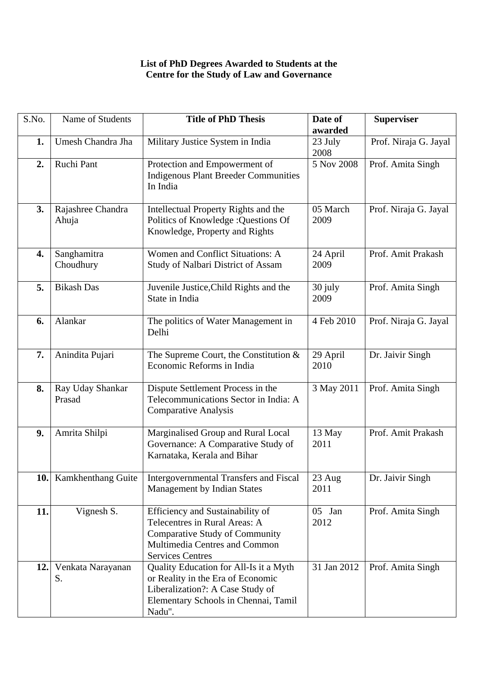## **List of PhD Degrees Awarded to Students at the Centre for the Study of Law and Governance**

| S.No. | Name of Students           | <b>Title of PhD Thesis</b>                                                                                                                                             | Date of                    | <b>Superviser</b>     |
|-------|----------------------------|------------------------------------------------------------------------------------------------------------------------------------------------------------------------|----------------------------|-----------------------|
| 1.    | Umesh Chandra Jha          | Military Justice System in India                                                                                                                                       | awarded<br>23 July<br>2008 | Prof. Niraja G. Jayal |
| 2.    | Ruchi Pant                 | Protection and Empowerment of<br><b>Indigenous Plant Breeder Communities</b><br>In India                                                                               | 5 Nov 2008                 | Prof. Amita Singh     |
| 3.    | Rajashree Chandra<br>Ahuja | Intellectual Property Rights and the<br>Politics of Knowledge : Questions Of<br>Knowledge, Property and Rights                                                         | 05 March<br>2009           | Prof. Niraja G. Jayal |
| 4.    | Sanghamitra<br>Choudhury   | Women and Conflict Situations: A<br>Study of Nalbari District of Assam                                                                                                 | 24 April<br>2009           | Prof. Amit Prakash    |
| 5.    | <b>Bikash Das</b>          | Juvenile Justice, Child Rights and the<br>State in India                                                                                                               | 30 july<br>2009            | Prof. Amita Singh     |
| 6.    | Alankar                    | The politics of Water Management in<br>Delhi                                                                                                                           | 4 Feb 2010                 | Prof. Niraja G. Jayal |
| 7.    | Anindita Pujari            | The Supreme Court, the Constitution $&$<br>Economic Reforms in India                                                                                                   | 29 April<br>2010           | Dr. Jaivir Singh      |
| 8.    | Ray Uday Shankar<br>Prasad | Dispute Settlement Process in the<br>Telecommunications Sector in India: A<br><b>Comparative Analysis</b>                                                              | 3 May 2011                 | Prof. Amita Singh     |
| 9.    | Amrita Shilpi              | Marginalised Group and Rural Local<br>Governance: A Comparative Study of<br>Karnataka, Kerala and Bihar                                                                | 13 May<br>2011             | Prof. Amit Prakash    |
| 10.1  | Kamkhenthang Guite         | <b>Intergovernmental Transfers and Fiscal</b><br><b>Management by Indian States</b>                                                                                    | 23 Aug<br>2011             | Dr. Jaivir Singh      |
| 11.   | Vignesh S.                 | Efficiency and Sustainability of<br>Telecentres in Rural Areas: A<br><b>Comparative Study of Community</b><br>Multimedia Centres and Common<br><b>Services Centres</b> | $05$ Jan<br>2012           | Prof. Amita Singh     |
| 12.1  | Venkata Narayanan<br>S.    | Quality Education for All-Is it a Myth<br>or Reality in the Era of Economic<br>Liberalization?: A Case Study of<br>Elementary Schools in Chennai, Tamil<br>Nadu".      | 31 Jan 2012                | Prof. Amita Singh     |